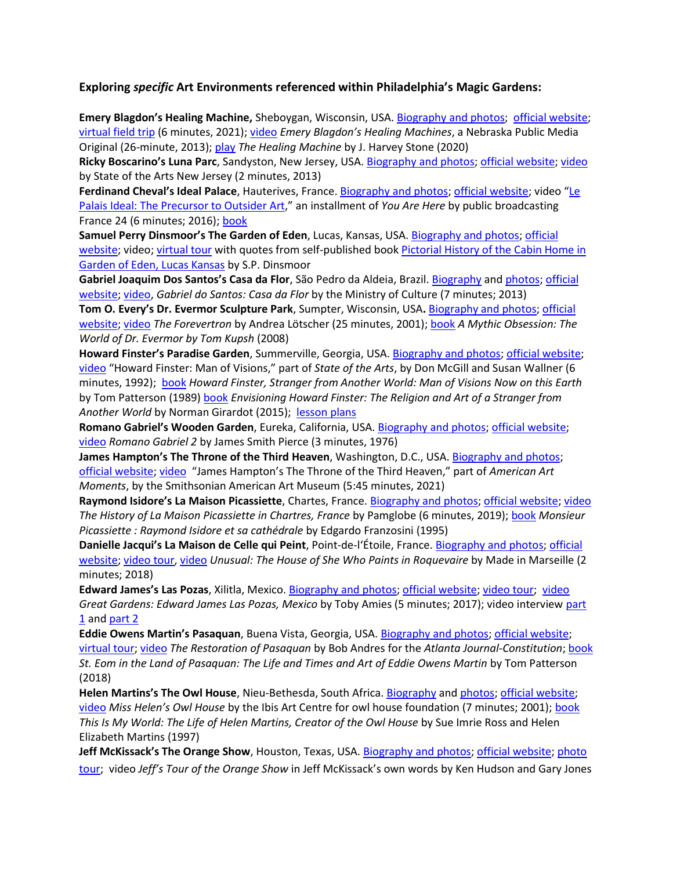## **Exploring** *specific* **Art Environments referenced within Philadelphia's Magic Gardens:**

**Emery Blagdon's Healing Machine,** Sheboygan, Wisconsin, USA. Biography [and photos;](http://spacesarchives.org/explore/search-the-online-collection/the-healing-machines/) [official website;](https://www.jmkac.org/artist/blagdon-emery/) [virtual field trip](https://www.youtube.com/watch?v=_EYTo4oQRKw) (6 minutes, 2021)[; video](Emery%20Blagdon%20And%20His%20Healing%20Machine) *Emery Blagdon's Healing Machines*, a Nebraska Public Media Original (26-minute, 2013)[; play](https://www.google.com/books/edition/The_Healing_Machine/bKiLzQEACAAJ?hl=en) *The Healing Machine* by J. Harvey Stone (2020)

**Ricky Boscarino's Luna Parc**, Sandyston, New Jersey, USA[. Biography and photos; official website;](https://www.lunaparc.com/untitled-component_14104) [video](https://www.youtube.com/watch?v=DzWRkfNeiMo) by State of the Arts New Jersey (2 minutes, 2013)

**Ferdinand Cheval's Ideal Palace**, Hauterives, France[. Biography and photos;](http://spacesarchives.org/explore/search-the-online-collection/palais-ideal/) [official website](https://www.facteurcheval.com/); video "[Le](https://www.france24.com/en/20160510-you-are-here-france-ideal-palace-drome-region-architectural-work)  [Palais Ideal: The Precursor to Outsider Art](https://www.france24.com/en/20160510-you-are-here-france-ideal-palace-drome-region-architectural-work)," an installment of *You Are Here* by public broadcasting France 24 (6 minutes; 2016); [book](https://www.google.com/books/edition/Palais_id%C3%A9al_du_facteur_Cheval/clNLuAAACAAJ?hl=en)

**Samuel Perry Dinsmoor's The Garden of Eden**, Lucas, Kansas, USA. [Biography and photos;](http://spacesarchives.org/explore/search-the-online-collection/garden-of-eden/) [official](http://www.gardenofedenlucas.org/)  [website;](http://www.gardenofedenlucas.org/) video[; virtual tour](http://www.gardenofedenlucas.org/self-guided-tour) with quotes from self-published book [Pictorial History of the Cabin Home in](http://www.gardenofedenlucas.org/pictorial-history)  [Garden of Eden, Lucas Kansas](http://www.gardenofedenlucas.org/pictorial-history) by S.P. Dinsmoor

**Gabriel Joaquim Dos Santos's Casa da Flor**, São Pedro da Aldeia, Brazil. [Biography](https://en.wikipedia.org/wiki/Gabriel_Joaquim_dos_Santos) and [photos;](https://www.nelsonkon.com.br/en/casa-da-flor/) [official](http://mapadecultura.com.br/manchete/casa-da-flor)  [website;](http://mapadecultura.com.br/manchete/casa-da-flor) [video,](https://www.youtube.com/watch?v=hg1_5zGlpZk) *Gabriel do Santos: Casa da Flor* by the Ministry of Culture (7 minutes; 2013)

**Tom O. Every's Dr. Evermor Sculpture Park**, Sumpter, Wisconsin, USA**.** [Biography and photos;](https://www.jmkac.org/artist/every-tom/) [official](http://www.worldofdrevermor.com/)  [website;](http://www.worldofdrevermor.com/) [video](https://vimeo.com/154640672) *The Forevertron* by Andrea Lötscher (25 minutes, 2001)[; book](https://www.google.com/books/edition/A_Mythic_Obsession/HHQ5V4sGqRgC?hl=en&gbpv=0) *A Mythic Obsession: The World of Dr. Evermor by Tom Kupsh* (2008)

**Howard Finster's Paradise Garden**, Summerville, Georgia, USA. [Biography and photos;](http://spacesarchives.org/explore/search-the-online-collection/paradise-garden/) [official website;](https://paradisegardenfoundation.org/) [video](https://www.youtube.com/watch?v=mMME7vXAWs4) "Howard Finster: Man of Visions," part of *State of the Arts*, by Don McGill and Susan Wallner (6 minutes, 1992); [book](https://www.google.com/books/edition/St_Eom_in_the_Land_of_Pasaquan/fS-cswEACAAJ?hl=en) *Howard Finster, Stranger from Another World: Man of Visions Now on this Earth* by Tom Patterson (1989) [book](https://www.google.com/books/edition/Envisioning_Howard_Finster/RHMlDQAAQBAJ?hl=en&gbpv=0) *Envisioning Howard Finster: The Religion and Art of a Stranger from Another World* by Norman Girardot (2015); [lesson plans](https://paradisegardenfoundation.org/education/plans)

**Romano Gabriel's Wooden Garden**, Eureka, California, USA. [Biography and photos;](http://spacesarchives.org/explore/search-the-online-collection/wooden-garden-gabriels-garden/) [official website;](http://eurekaheritage.com/romano.html) [video](https://commons.und.edu/fast-films/31/) *Romano Gabriel 2* by James Smith Pierce (3 minutes, 1976)

**James Hampton's The Throne of the Third Heaven**, Washington, D.C., USA. [Biography and photos;](http://spacesarchives.org/explore/search-the-online-collection/throne-of-the-third-heaven-of-the-nations-millennium-general-assembly/) [official website;](https://americanart.si.edu/artwork/throne-third-heaven-nations-millennium-general-assembly-9897) [video](https://youtu.be/amqtOp-HPos) "James Hampton's The Throne of the Third Heaven," part of *American Art Moments*, by the Smithsonian American Art Museum (5:45 minutes, 2021)

**Raymond Isidore's La Maison Picassiette**, Chartes, France. [Biography and photos;](http://spacesarchives.org/explore/search-the-online-collection/la-maison-de-picassiette/) [official website;](https://www.chartres.fr/maison-picassiette/) [video](https://www.youtube.com/watch?v=z870k2ccjqs) *The History of La Maison Picassiette in Chartres, France* by Pamglobe (6 minutes, 2019); [book](https://www.google.com/books/edition/Raymond_Isidore_e_la_sua_cattedrale/6G0dAQAAIAAJ?hl=en&gbpv=1&bsq=Edgardo+Franzosini+Raymond+Isidore&dq=Edgardo+Franzosini+Raymond+Isidore&printsec=frontcover) *Monsieur Picassiette : Raymond Isidore et sa cathédrale* by Edgardo Franzosini (1995)

**Danielle Jacqui's La Maison de Celle qui Peint**, Point-de-l'Étoile, France. [Biography and photos;](http://spacesarchives.org/explore/search-the-online-collection/danielle-jacqui-la-maison-de-celle-qui-peint-the-house-of-she-who-paints/) [official](https://www.facebook.com/danielle.jacqui.7)  [website;](https://www.facebook.com/danielle.jacqui.7) [video tour,](https://www.youtube.com/watch?v=n8uPyzMhF2Y) [video](https://www.youtube.com/watch?v=HzbMXFaIDkc) *Unusual: The House of She Who Paints in Roquevaire* by Made in Marseille (2 minutes; 2018)

**Edward James's Las Pozas**, Xilitla, Mexico. [Biography and photos;](http://spacesarchives.org/explore/search-the-online-collection/edward-james-las-pozas/) [official website;](https://www.laspozasxilitla.org.mx/) [video tour;](https://www.youtube.com/watch?v=GfZCG44W2nU) [video](https://www.youtube.com/watch?v=BLcsOeiadls&t=101s) *Great Gardens: Edward James Las Pozas, Mexico* by Toby Amies (5 minutes; 2017); video interview [part](https://www.youtube.com/watch?v=Dg7dQ2QnOcc&t=71s)  [1](https://www.youtube.com/watch?v=Dg7dQ2QnOcc&t=71s) an[d part 2](https://www.youtube.com/watch?v=zXA8PGMlsQI)

**Eddie Owens Martin's Pasaquan**, Buena Vista, Georgia, USA. [Biography and photos;](http://spacesarchives.org/explore/search-the-online-collection/pasaquan/gallery/) [official website;](https://pasaquan.columbusstate.edu/) [virtual tour;](https://my.matterport.com/show/?m=Fsf3C4eLovY&fbclid=IwAR1PdGcfdQEJ9AW4aD_n0NpkfoBXfsrNpIeXjiYG6iz5_Z97LKaBMdH8D9k) [video](http://specials.myajc.com/pasaquan/) *The Restoration of Pasaquan* by Bob Andres for the *Atlanta Journal-Constitution*; [book](https://www.google.com/books/edition/St_Eom_in_the_Land_of_Pasaquan/fS-cswEACAAJ?hl=en) *St. Eom in the Land of Pasaquan: The Life and Times and Art of Eddie Owens Martin* by Tom Patterson (2018)

**Helen Martins's The Owl House**, Nieu-Bethesda, South Africa. [Biography](https://oudepastorie.com/helen-martins-and-the-owl-house/) an[d photos;](http://spacesarchives.org/explore/search-the-online-collection/helen-elizabeth-martins-the-owl-house/) [official website;](https://theowlhouse.co.za/helen-martins/) [video](https://www.youtube.com/watch?v=Yytp3GoM6_c) *Miss Helen's Owl House* by the Ibis Art Centre for owl house foundation (7 minutes; 2001); [book](https://www.google.com/books/edition/This_is_My_World/v_RCAQAAIAAJ?hl=en&gbpv=0) *This Is My World: The Life of Helen Martins, Creator of the Owl House* by Sue Imrie Ross and Helen Elizabeth Martins (1997)

**Jeff McKissack's The Orange Show**, Houston, Texas, USA[. Biography and photos;](http://spacesarchives.org/explore/search-the-online-collection/the-orange-show/) [official website;](https://www.orangeshow.org/orange-show-history) [photo](https://www.orangeshow.org/orange-show-photo-tour)  [tour;](https://www.orangeshow.org/orange-show-photo-tour) video *Jeff's Tour of the Orange Show* in Jeff McKissack's own words by Ken Hudson and Gary Jones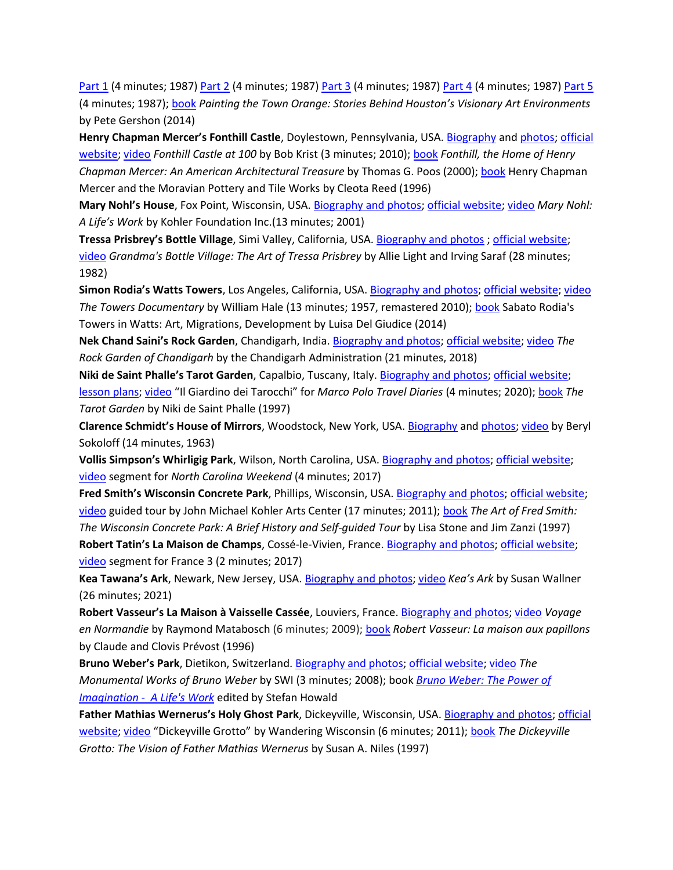[Part 1](https://www.youtube.com/watch?v=mDZRlI1dyfk&t=5s) (4 minutes; 1987) [Part 2](https://www.youtube.com/watch?v=T4cI1O0rmTI) (4 minutes; 1987[\) Part 3](https://www.youtube.com/watch?v=UCsAzUjzitQ) (4 minutes; 1987) [Part 4](https://www.youtube.com/watch?v=eesMSiWQVjI) (4 minutes; 1987) [Part 5](https://www.youtube.com/watch?v=hrokmMyOgdc) (4 minutes; 1987); [book](https://www.google.com/books/edition/Painting_the_Town_Orange/uAR3CQAAQBAJ?hl=en&gbpv=0) *Painting the Town Orange: Stories Behind Houston's Visionary Art Environments* by Pete Gershon (2014)

**Henry Chapman Mercer's Fonthill Castle**, Doylestown, Pennsylvania, USA. [Biography](https://en.wikipedia.org/wiki/Henry_Chapman_Mercer) and [photos;](https://www.mercermuseum.org/visit/fonthill-castle/gallery/fonthill-castle-photos/) [official](https://www.mercermuseum.org/about/fonthill-castle/)  [website;](https://www.mercermuseum.org/about/fonthill-castle/) [video](https://www.mercermuseum.org/visit/fonthill-castle/gallery/fonthill-castle-videos/) *Fonthill Castle at 100* by Bob Krist (3 minutes; 2010); [book](https://www.google.com/books/edition/Fonthill_the_Home_of_Henry_Chapman_Merce/gnANAAAACAAJ?hl=en) *Fonthill, the Home of Henry Chapman Mercer: An American Architectural Treasure* by Thomas G. Poos (2000)[; book](https://www.google.com/books/edition/Henry_Chapman_Mercer_and_the_Moravian_Po/5k4PAAAACAAJ?hl=en) Henry Chapman Mercer and the Moravian Pottery and Tile Works by Cleota Reed (1996)

**Mary Nohl's House**, Fox Point, Wisconsin, USA. [Biography and photos;](http://spacesarchives.org/explore/search-the-online-collection/mary-nohl/) [official website;](https://www.jmkac.org/artist/mary-nohl/) [video](https://www.youtube.com/watch?v=I27xTxufaFQ&t=5s) *Mary Nohl: A Life's Work* by Kohler Foundation Inc.(13 minutes; 2001)

**Tressa Prisbrey's Bottle Village**, Simi Valley, California, USA[. Biography and photos](http://spacesarchives.org/explore/search-the-online-collection/grandma-prisbreys-bottle-village/) [; official website;](http://www.bottlevillage.com/) [video](https://www.youtube.com/watch?v=vEZTXwAvres) *Grandma's Bottle Village: The Art of Tressa Prisbrey* by Allie Light and Irving Saraf (28 minutes; 1982)

**Simon Rodia's Watts Towers**, Los Angeles, California, USA. [Biography and photos;](http://spacesarchives.org/explore/search-the-online-collection/watts-towers/) [official website;](https://www.wattstowers.org/) [video](https://www.youtube.com/watch?v=9L3hlXe3-Uc) *The Towers Documentary* by William Hale (13 minutes; 1957, remastered 2010); [book](https://www.google.com/books/edition/Sabato_Rodia_s_Towers_in_Watts/EAY1EAAAQBAJ?hl=en&gbpv=0&bsq=Romano%20Gabriel%E2%80%99s%20Wooden%20Garden) Sabato Rodia's Towers in Watts: Art, Migrations, Development by Luisa Del Giudice (2014)

**Nek Chand Saini's Rock Garden**, Chandigarh, India[. Biography and photos;](https://www.jmkac.org/artist/chand-nek/) [official website;](https://nekchand.com/) [video](https://www.youtube.com/watch?v=X-cCr2H1I30) *The Rock Garden of Chandigarh* by the Chandigarh Administration (21 minutes, 2018)

**Niki de Saint Phalle's Tarot Garden**, Capalbio, Tuscany, Italy[. Biography and photos;](http://spacesarchives.org/explore/search-the-online-collection/niki-de-saint-phalle-il-giardina-dei-tarocchi-the-tarot-garden/) [official website;](http://ilgiardinodeitarocchi.it/en/) [lesson plans;](http://nikidesaintphalle.org/education-programs/online-lesson-plans/) [video](http://ilgiardinodeitarocchi.it/en/about/video-clips/) "Il Giardino dei Tarocchi" for *Marco Polo Travel Diaries* (4 minutes; 2020); [book](https://www.google.com/books/edition/The_Tarot_Garden/3hlQAQAAIAAJ?hl=en&gbpv=0) *The Tarot Garden* by Niki de Saint Phalle (1997)

**Clarence Schmidt's House of Mirrors**, Woodstock, New York, USA. [Biography](https://en.wikipedia.org/wiki/Clarence_Schmidt) and [photos;](http://spacesarchives.org/explore/search-the-online-collection/journeys-end-house-of-mirrors-mark-11-silver-forest/) [video](https://vimeo.com/166277143) by Beryl Sokoloff (14 minutes, 1963)

**Vollis Simpson's Whirligig Park**, Wilson, North Carolina, USA. [Biography and photos;](http://spacesarchives.org/explore/search-the-online-collection/whirligig-park/) [official website;](https://www.wilsonwhirligigpark.org/) [video](https://www.youtube.com/watch?v=q_pwO3W4xu0) segment for *North Carolina Weekend* (4 minutes; 2017)

**Fred Smith's Wisconsin Concrete Park**, Phillips, Wisconsin, USA[. Biography and photos;](https://www.jmkac.org/artist/smith-fred/) [official website;](http://www.wisconsinconcretepark.org/) [video](https://www.youtube.com/watch?v=O5EAkgjThk0) guided tour by John Michael Kohler Arts Center (17 minutes; 2011); [book](https://www.google.com/books/edition/The_Art_of_Fred_Smith/yhNGHQAACAAJ?hl=en) *The Art of Fred Smith: The Wisconsin Concrete Park: A Brief History and Self-guided Tour* by Lisa Stone and Jim Zanzi (1997) **Robert Tatin's La Maison de Champs**, Cossé-le-Vivien, France. [Biography and photos;](http://spacesarchives.org/explore/search-the-online-collection/la-maison-des-champs-the-country-house/) [official website;](https://www.musee-robert-tatin.fr/) [video](https://www.youtube.com/watch?v=R290z4Ik41k) segment for France 3 (2 minutes; 2017)

**Kea Tawana's Ark**, Newark, New Jersey, USA. [Biography and photos;](http://www.spacesarchives.org/explore/search-the-online-collection/keas-ark/) [video](https://pckmedia.com/keas-ark/) *Kea's Ark* by Susan Wallner (26 minutes; 2021)

**Robert Vasseur's La Maison à Vaisselle Cassée**, Louviers, France. [Biography and photos;](http://spacesarchives.org/explore/search-the-online-collection/robert-vasseur-la-maison-de-vaiselle-casse-the-broken-crockery-house/) [video](https://www.youtube.com/watch?v=fE7ezYTEUrw) *Voyage en Normandie* by Raymond Matabosch (6 minutes; 2009); [book](https://www.google.com/books/edition/Robert_Vasseur/tFTvAQAACAAJ?hl=en) *Robert Vasseur: La maison aux papillons*  by Claude and Clovis Prévost (1996)

**Bruno Weber's Park**, Dietikon, Switzerland[. Biography and photos;](http://spacesarchives.org/explore/search-the-online-collection/bruno-weber-bruno-weber-park/) [official website;](https://weberpark.ch/en/bruno-weber-park-en/) [video](https://www.youtube.com/watch?v=mh6LlorDElM) *The Monumental Works of Bruno Weber* by SWI (3 minutes; 2008); book *[Bruno Weber: The Power of](https://maria-anna-und-bruno-weber.ch/buch/die-kraft-der-phantasie-ein-lebenswerk.html)  [Imagination - A Life's Work](https://maria-anna-und-bruno-weber.ch/buch/die-kraft-der-phantasie-ein-lebenswerk.html)* edited by Stefan Howald

**Father Mathias Wernerus's Holy Ghost Park**, Dickeyville, Wisconsin, USA. [Biography and photos;](http://spacesarchives.org/explore/search-the-online-collection/dickeyville-grotto-and-holy-ghost-park/) [official](https://www.dickeyvillegrotto.com/)  [website;](https://www.dickeyvillegrotto.com/) [video](https://www.youtube.com/watch?v=CpDBcrUX6Wg) "Dickeyville Grotto" by Wandering Wisconsin (6 minutes; 2011); [book](https://www.google.com/books/edition/The_Dickeyville_Grotto/Z8LYAAAAMAAJ?hl=en&gbpv=0) The Dickeyville *Grotto: The Vision of Father Mathias Wernerus* by Susan A. Niles (1997)